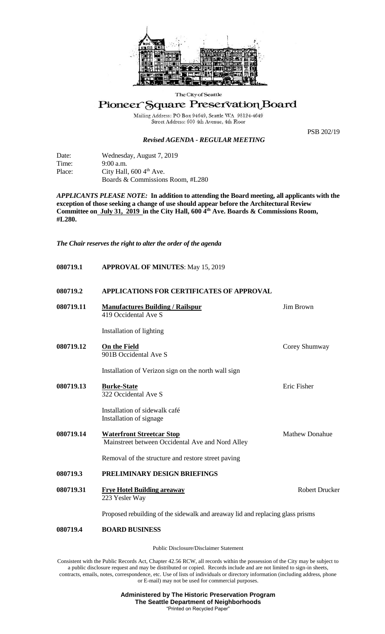

The City of Seattle

## Pioneer Square Preservation Board

Mailing Address: PO Box 94649, Seattle WA 98124-4649<br>Street Address: 600 4th Avenue, 4th Floor

## *Revised AGENDA - REGULAR MEETING*

PSB 202/19

| Date:  | Wednesday, August 7, 2019            |
|--------|--------------------------------------|
| Time:  | $9:00$ a.m.                          |
| Place: | City Hall, $600\,4^{\text{th}}$ Ave. |
|        | Boards & Commissions Room, #L280     |

*APPLICANTS PLEASE NOTE:* **In addition to attending the Board meeting, all applicants with the exception of those seeking a change of use should appear before the Architectural Review Committee on July 31, 2019 in the City Hall, 600 4th Ave. Boards & Commissions Room, #L280.**

*The Chair reserves the right to alter the order of the agenda*

- **080719.1 APPROVAL OF MINUTES**: May 15, 2019
- **080719.2 APPLICATIONS FOR CERTIFICATES OF APPROVAL**
- **080719.11 Manufactures Building / Railspur** Jim Brown 419 Occidental Ave S Installation of lighting **080719.12 On the Field** Corey Shumway 901B Occidental Ave S Installation of Verizon sign on the north wall sign **080719.13 Burke-State Example 2018 Burke-State Example 2018 Example 2018 Burke-State** 322 Occidental Ave S Installation of sidewalk café Installation of signage **080719.14 Waterfront Streetcar Stop** Mathew Donahue Mainstreet between Occidental Ave and Nord Alley Removal of the structure and restore street paving **080719.3 PRELIMINARY DESIGN BRIEFINGS 080719.31 Figure Hotel Building areaway** Robert Drucker 223 Yesler Way Proposed rebuilding of the sidewalk and areaway lid and replacing glass prisms **080719.4 BOARD BUSINESS**

Public Disclosure/Disclaimer Statement

Consistent with the Public Records Act, Chapter 42.56 RCW, all records within the possession of the City may be subject to a public disclosure request and may be distributed or copied. Records include and are not limited to sign-in sheets, contracts, emails, notes, correspondence, etc. Use of lists of individuals or directory information (including address, phone or E-mail) may not be used for commercial purposes.

> **Administered by The Historic Preservation Program The Seattle Department of Neighborhoods** "Printed on Recycled Paper"